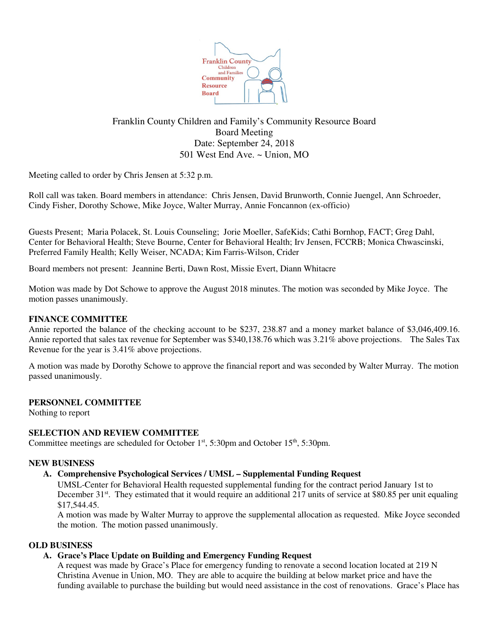

# Franklin County Children and Family's Community Resource Board Board Meeting Date: September 24, 2018 501 West End Ave. ~ Union, MO

Meeting called to order by Chris Jensen at 5:32 p.m.

Roll call was taken. Board members in attendance: Chris Jensen, David Brunworth, Connie Juengel, Ann Schroeder, Cindy Fisher, Dorothy Schowe, Mike Joyce, Walter Murray, Annie Foncannon (ex-officio)

Guests Present; Maria Polacek, St. Louis Counseling; Jorie Moeller, SafeKids; Cathi Bornhop, FACT; Greg Dahl, Center for Behavioral Health; Steve Bourne, Center for Behavioral Health; Irv Jensen, FCCRB; Monica Chwascinski, Preferred Family Health; Kelly Weiser, NCADA; Kim Farris-Wilson, Crider

Board members not present: Jeannine Berti, Dawn Rost, Missie Evert, Diann Whitacre

Motion was made by Dot Schowe to approve the August 2018 minutes. The motion was seconded by Mike Joyce. The motion passes unanimously.

## **FINANCE COMMITTEE**

Annie reported the balance of the checking account to be \$237, 238.87 and a money market balance of \$3,046,409.16. Annie reported that sales tax revenue for September was \$340,138.76 which was 3.21% above projections. The Sales Tax Revenue for the year is 3.41% above projections.

A motion was made by Dorothy Schowe to approve the financial report and was seconded by Walter Murray. The motion passed unanimously.

### **PERSONNEL COMMITTEE**

Nothing to report

# **SELECTION AND REVIEW COMMITTEE**

Committee meetings are scheduled for October  $1<sup>st</sup>$ , 5:30pm and October  $15<sup>th</sup>$ , 5:30pm.

# **NEW BUSINESS**

# **A. Comprehensive Psychological Services / UMSL – Supplemental Funding Request**

UMSL-Center for Behavioral Health requested supplemental funding for the contract period January 1st to December  $31^{st}$ . They estimated that it would require an additional 217 units of service at \$80.85 per unit equaling \$17,544.45.

A motion was made by Walter Murray to approve the supplemental allocation as requested. Mike Joyce seconded the motion. The motion passed unanimously.

## **OLD BUSINESS**

# **A. Grace's Place Update on Building and Emergency Funding Request**

A request was made by Grace's Place for emergency funding to renovate a second location located at 219 N Christina Avenue in Union, MO. They are able to acquire the building at below market price and have the funding available to purchase the building but would need assistance in the cost of renovations. Grace's Place has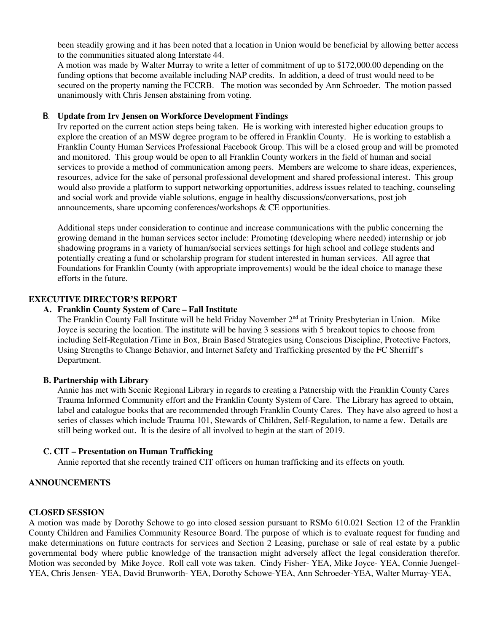been steadily growing and it has been noted that a location in Union would be beneficial by allowing better access to the communities situated along Interstate 44.

A motion was made by Walter Murray to write a letter of commitment of up to \$172,000.00 depending on the funding options that become available including NAP credits. In addition, a deed of trust would need to be secured on the property naming the FCCRB. The motion was seconded by Ann Schroeder. The motion passed unanimously with Chris Jensen abstaining from voting.

### B. **Update from Irv Jensen on Workforce Development Findings**

Irv reported on the current action steps being taken. He is working with interested higher education groups to explore the creation of an MSW degree program to be offered in Franklin County. He is working to establish a Franklin County Human Services Professional Facebook Group. This will be a closed group and will be promoted and monitored. This group would be open to all Franklin County workers in the field of human and social services to provide a method of communication among peers. Members are welcome to share ideas, experiences, resources, advice for the sake of personal professional development and shared professional interest. This group would also provide a platform to support networking opportunities, address issues related to teaching, counseling and social work and provide viable solutions, engage in healthy discussions/conversations, post job announcements, share upcoming conferences/workshops & CE opportunities.

Additional steps under consideration to continue and increase communications with the public concerning the growing demand in the human services sector include: Promoting (developing where needed) internship or job shadowing programs in a variety of human/social services settings for high school and college students and potentially creating a fund or scholarship program for student interested in human services. All agree that Foundations for Franklin County (with appropriate improvements) would be the ideal choice to manage these efforts in the future.

## **EXECUTIVE DIRECTOR'S REPORT**

### **A. Franklin County System of Care – Fall Institute**

The Franklin County Fall Institute will be held Friday November 2<sup>nd</sup> at Trinity Presbyterian in Union. Mike Joyce is securing the location. The institute will be having 3 sessions with 5 breakout topics to choose from including Self-Regulation /Time in Box, Brain Based Strategies using Conscious Discipline, Protective Factors, Using Strengths to Change Behavior, and Internet Safety and Trafficking presented by the FC Sherriff's Department.

### **B. Partnership with Library**

Annie has met with Scenic Regional Library in regards to creating a Patnership with the Franklin County Cares Trauma Informed Community effort and the Franklin County System of Care. The Library has agreed to obtain, label and catalogue books that are recommended through Franklin County Cares. They have also agreed to host a series of classes which include Trauma 101, Stewards of Children, Self-Regulation, to name a few. Details are still being worked out. It is the desire of all involved to begin at the start of 2019.

### **C. CIT – Presentation on Human Trafficking**

Annie reported that she recently trained CIT officers on human trafficking and its effects on youth.

### **ANNOUNCEMENTS**

### **CLOSED SESSION**

A motion was made by Dorothy Schowe to go into closed session pursuant to RSMo 610.021 Section 12 of the Franklin County Children and Families Community Resource Board. The purpose of which is to evaluate request for funding and make determinations on future contracts for services and Section 2 Leasing, purchase or sale of real estate by a public governmental body where public knowledge of the transaction might adversely affect the legal consideration therefor. Motion was seconded by Mike Joyce. Roll call vote was taken. Cindy Fisher- YEA, Mike Joyce- YEA, Connie Juengel-YEA, Chris Jensen- YEA, David Brunworth- YEA, Dorothy Schowe-YEA, Ann Schroeder-YEA, Walter Murray-YEA,